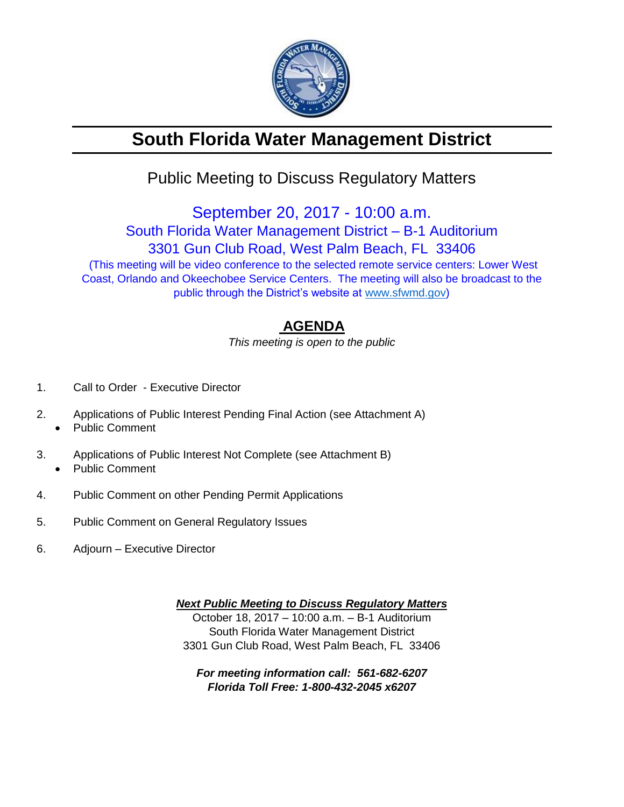

# **South Florida Water Management District**

## Public Meeting to Discuss Regulatory Matters

September 20, 2017 - 10:00 a.m. South Florida Water Management District – B-1 Auditorium 3301 Gun Club Road, West Palm Beach, FL 33406 (This meeting will be video conference to the selected remote service centers: Lower West Coast, Orlando and Okeechobee Service Centers. The meeting will also be broadcast to the public through the District's website at [www.sfwmd.gov\)](http://www.sfwmd.gov/)

### **AGENDA**

*This meeting is open to the public*

- 1. Call to Order Executive Director
- 2. Applications of Public Interest Pending Final Action (see Attachment A)
	- Public Comment
- 3. Applications of Public Interest Not Complete (see Attachment B) • Public Comment
- 4. Public Comment on other Pending Permit Applications
- 5. Public Comment on General Regulatory Issues
- 6. Adjourn Executive Director

*Next Public Meeting to Discuss Regulatory Matters* October 18, 2017 – 10:00 a.m. – B-1 Auditorium South Florida Water Management District 3301 Gun Club Road, West Palm Beach, FL 33406

*For meeting information call: 561-682-6207 Florida Toll Free: 1-800-432-2045 x6207*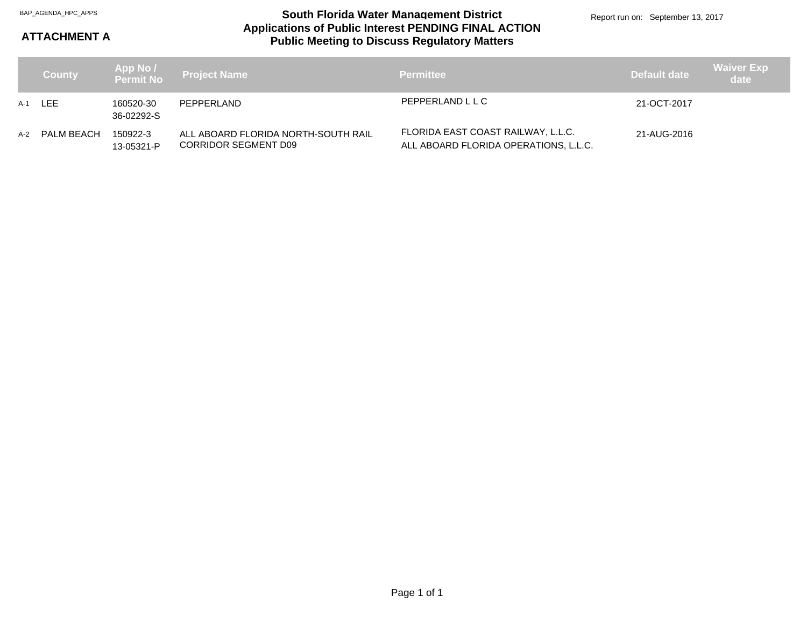#### **Applications of Public Interest PENDING FINAL ACTION Public Meeting to Discuss Regulatory Matters** BAP\_AGENDA\_HPC\_APPS **South Florida Water Management District**

### **ATTACHMENT A**

|       | <b>County</b> |                         | App No /<br>Permit No  Project Name                                | <b>Permittee</b>                                                            | Default date | <b>Waiver Exp</b><br>date |
|-------|---------------|-------------------------|--------------------------------------------------------------------|-----------------------------------------------------------------------------|--------------|---------------------------|
|       | A-1 LEE       | 160520-30<br>36-02292-S | PEPPERLAND                                                         | PEPPERLAND L L C                                                            | 21-OCT-2017  |                           |
| $A-2$ | PALM BEACH    | 150922-3<br>13-05321-P  | ALL ABOARD FLORIDA NORTH-SOUTH RAIL<br><b>CORRIDOR SEGMENT D09</b> | FLORIDA EAST COAST RAILWAY, L.L.C.<br>ALL ABOARD FLORIDA OPERATIONS, L.L.C. | 21-AUG-2016  |                           |